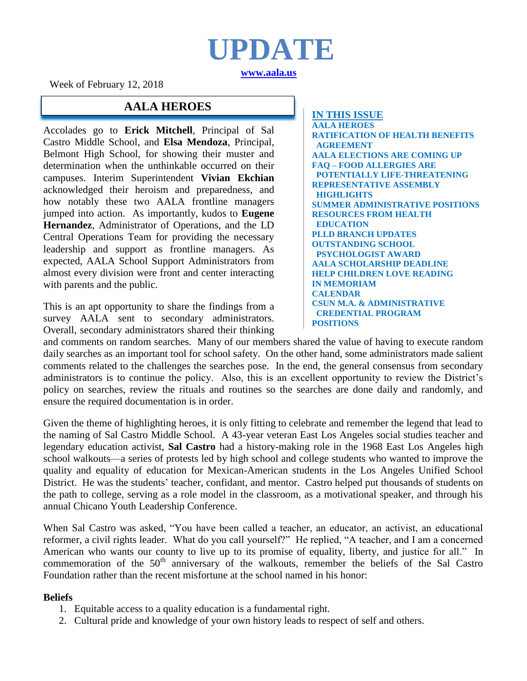## **UPDATE [www.aala.us](http://www.aala.us/)**

Week of February 12, 2018

### **AALA HEROES**

Accolades go to **Erick Mitchell**, Principal of Sal Castro Middle School, and **Elsa Mendoza**, Principal, Belmont High School, for showing their muster and determination when the unthinkable occurred on their campuses. Interim Superintendent **Vivian Ekchian** acknowledged their heroism and preparedness, and how notably these two AALA frontline managers jumped into action. As importantly, kudos to **Eugene Hernandez**, Administrator of Operations, and the LD Central Operations Team for providing the necessary leadership and support as frontline managers. As expected, AALA School Support Administrators from almost every division were front and center interacting with parents and the public.

This is an apt opportunity to share the findings from a survey AALA sent to secondary administrators. Overall, secondary administrators shared their thinking

**IN THIS ISSUE AALA HEROES RATIFICATION OF HEALTH BENEFITS AGREEMENT AALA ELECTIONS ARE COMING UP FAQ – FOOD ALLERGIES ARE POTENTIALLY LIFE-THREATENING REPRESENTATIVE ASSEMBLY HIGHLIGHTS SUMMER ADMINISTRATIVE POSITIONS RESOURCES FROM HEALTH EDUCATION PLLD BRANCH UPDATES OUTSTANDING SCHOOL PSYCHOLOGIST AWARD AALA SCHOLARSHIP DEADLINE HELP CHILDREN LOVE READING IN MEMORIAM CALENDAR CSUN M.A. & ADMINISTRATIVE CREDENTIAL PROGRAM POSITIONS**

and comments on random searches. Many of our members shared the value of having to execute random daily searches as an important tool for school safety. On the other hand, some administrators made salient comments related to the challenges the searches pose. In the end, the general consensus from secondary administrators is to continue the policy. Also, this is an excellent opportunity to review the District's policy on searches, review the rituals and routines so the searches are done daily and randomly, and ensure the required documentation is in order.

Given the theme of highlighting heroes, it is only fitting to celebrate and remember the legend that lead to the naming of Sal Castro Middle School. A 43-year veteran East Los Angeles social studies teacher and legendary education activist, **Sal Castro** had a history-making role in the 1968 East Los Angeles high school walkouts—a series of protests led by high school and college students who wanted to improve the quality and equality of education for Mexican-American students in the Los Angeles Unified School District. He was the students' teacher, confidant, and mentor. Castro helped put thousands of students on the path to college, serving as a role model in the classroom, as a motivational speaker, and through his annual Chicano Youth Leadership Conference.

When Sal Castro was asked, "You have been called a teacher, an educator, an activist, an educational reformer, a civil rights leader. What do you call yourself?" He replied, "A teacher, and I am a concerned American who wants our county to live up to its promise of equality, liberty, and justice for all." In commemoration of the  $50<sup>th</sup>$  anniversary of the walkouts, remember the beliefs of the Sal Castro Foundation rather than the recent misfortune at the school named in his honor:

#### **Beliefs**

- 1. Equitable access to a quality education is a fundamental right.
- 2. Cultural pride and knowledge of your own history leads to respect of self and others.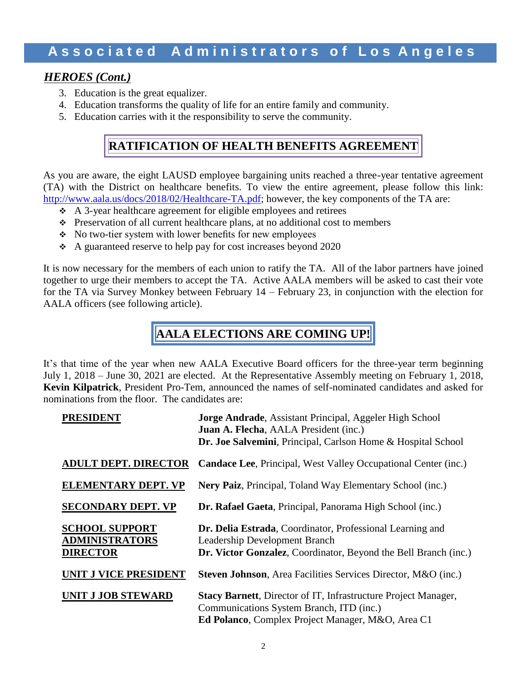### *HEROES (Cont.)*

- 3. Education is the great equalizer.
- 4. Education transforms the quality of life for an entire family and community.
- 5. Education carries with it the responsibility to serve the community.

### **RATIFICATION OF HEALTH BENEFITS AGREEMENT**

As you are aware, the eight LAUSD employee bargaining units reached a three-year tentative agreement (TA) with the District on healthcare benefits. To view the entire agreement, please follow this link: [http://www.aala.us/docs/2018/02/Healthcare-TA.pdf;](http://www.aala.us/docs/2018/02/Healthcare-TA.pdf) however, the key components of the TA are:

- $\div$  A 3-year healthcare agreement for eligible employees and retirees
- Preservation of all current healthcare plans, at no additional cost to members
- No two-tier system with lower benefits for new employees
- A guaranteed reserve to help pay for cost increases beyond 2020

It is now necessary for the members of each union to ratify the TA. All of the labor partners have joined together to urge their members to accept the TA. Active AALA members will be asked to cast their vote for the TA via Survey Monkey between February 14 – February 23, in conjunction with the election for AALA officers (see following article).

### **AALA ELECTIONS ARE COMING UP!**

It's that time of the year when new AALA Executive Board officers for the three-year term beginning July 1, 2018 – June 30, 2021 are elected. At the Representative Assembly meeting on February 1, 2018, **Kevin Kilpatrick**, President Pro-Tem, announced the names of self-nominated candidates and asked for nominations from the floor. The candidates are:

| Dr. Joe Salvemini, Principal, Carlson Home & Hospital School                                                                                                           |
|------------------------------------------------------------------------------------------------------------------------------------------------------------------------|
| <b>Candace Lee, Principal, West Valley Occupational Center (inc.)</b>                                                                                                  |
| Nery Paiz, Principal, Toland Way Elementary School (inc.)                                                                                                              |
| Dr. Rafael Gaeta, Principal, Panorama High School (inc.)                                                                                                               |
| Dr. Delia Estrada, Coordinator, Professional Learning and                                                                                                              |
| Dr. Victor Gonzalez, Coordinator, Beyond the Bell Branch (inc.)                                                                                                        |
| <b>Steven Johnson</b> , Area Facilities Services Director, M&O (inc.)                                                                                                  |
| <b>Stacy Barnett, Director of IT, Infrastructure Project Manager,</b><br>Communications System Branch, ITD (inc.)<br>Ed Polanco, Complex Project Manager, M&O, Area C1 |
|                                                                                                                                                                        |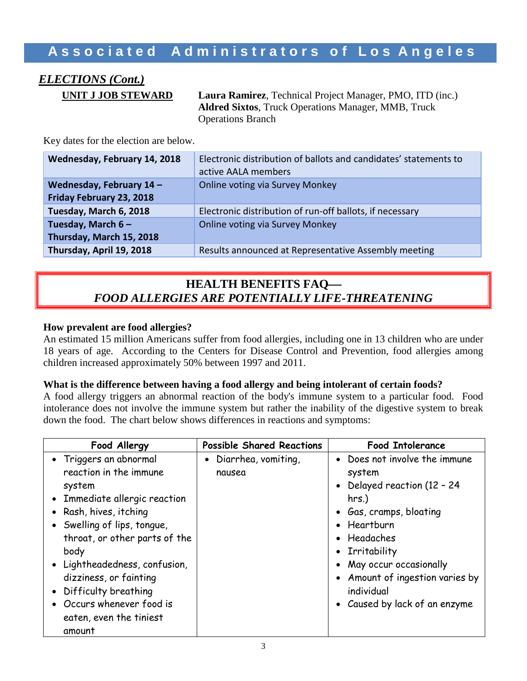# *ELECTIONS (Cont.)*

**UNIT J JOB STEWARD Laura Ramirez**, Technical Project Manager, PMO, ITD (inc.) **Aldred Sixtos**, Truck Operations Manager, MMB, Truck Operations Branch

Key dates for the election are below.

| Wednesday, February 14, 2018                         | Electronic distribution of ballots and candidates' statements to<br>active AALA members |
|------------------------------------------------------|-----------------------------------------------------------------------------------------|
| Wednesday, February 14 -<br>Friday February 23, 2018 | <b>Online voting via Survey Monkey</b>                                                  |
| Tuesday, March 6, 2018                               | Electronic distribution of run-off ballots, if necessary                                |
| Tuesday, March $6-$<br>Thursday, March 15, 2018      | <b>Online voting via Survey Monkey</b>                                                  |
| Thursday, April 19, 2018                             | Results announced at Representative Assembly meeting                                    |

### **HEALTH BENEFITS FAQ** *FOOD ALLERGIES ARE POTENTIALLY LIFE-THREATENING*

#### **How prevalent are food allergies?**

An estimated 15 million Americans suffer from food allergies, including one in 13 children who are under 18 years of age. According to the Centers for Disease Control and Prevention, food allergies among children increased approximately 50% between 1997 and 2011.

#### **What is the difference between having a food allergy and being intolerant of certain foods?**

A food allergy triggers an abnormal reaction of the body's immune system to a particular food. Food intolerance does not involve the immune system but rather the inability of the digestive system to break down the food. The chart below shows differences in reactions and symptoms:

| Food Allergy                  | <b>Possible Shared Reactions</b> | <b>Food Intolerance</b>         |
|-------------------------------|----------------------------------|---------------------------------|
| • Triggers an abnormal        | • Diarrhea, vomiting,            | • Does not involve the immune   |
| reaction in the immune        | nausea                           | system                          |
| system                        |                                  | • Delayed reaction (12 - 24     |
| • Immediate allergic reaction |                                  | $hrs.$ )                        |
| • Rash, hives, itching        |                                  | • Gas, cramps, bloating         |
| • Swelling of lips, tongue,   |                                  | • Heartburn                     |
| throat, or other parts of the |                                  | • Headaches                     |
| body                          |                                  | • Irritability                  |
| • Lightheadedness, confusion, |                                  | • May occur occasionally        |
| dizziness, or fainting        |                                  | • Amount of ingestion varies by |
| • Difficulty breathing        |                                  | individual                      |
| • Occurs whenever food is     |                                  | • Caused by lack of an enzyme   |
| eaten, even the tiniest       |                                  |                                 |
| amount                        |                                  |                                 |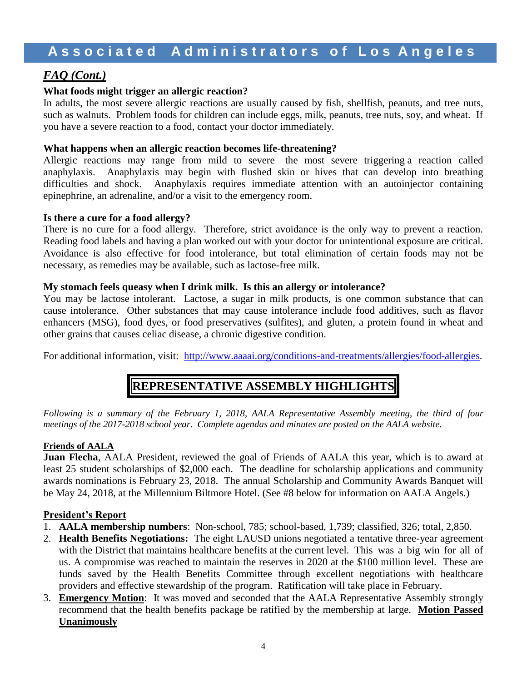### *FAQ (Cont.)*

### **What foods might trigger an allergic reaction?**

In adults, the most severe allergic reactions are usually caused by fish, shellfish, peanuts, and tree nuts, such as walnuts. Problem foods for children can include eggs, milk, peanuts, tree nuts, soy, and wheat. If you have a severe reaction to a food, contact your doctor immediately.

#### **What happens when an allergic reaction becomes life-threatening?**

Allergic reactions may range from mild to severe—the most severe triggering a reaction called [anaphylaxis.](http://www.foodallergy.org/anaphylaxis) Anaphylaxis may begin with flushed skin or hives that can develop into breathing difficulties and shock. Anaphylaxis requires immediate attention with an autoinjector containing epinephrine, an adrenaline, and/or a visit to the emergency room.

#### **Is there a cure for a food allergy?**

There is no cure for a food allergy. Therefore, strict avoidance is the only way to prevent a reaction. Reading food labels and having a plan worked out with your doctor for unintentional exposure are critical. Avoidance is also effective for food intolerance, but total elimination of certain foods may not be necessary, as remedies may be available, such as lactose-free milk.

#### **My stomach feels queasy when I drink milk. Is this an allergy or intolerance?**

You may be lactose intolerant. Lactose, a sugar in milk products, is one common substance that can cause intolerance. Other substances that may cause intolerance include food additives*,* such as flavor enhancers (MSG), food dyes, or food preservatives (sulfites), and gluten, a protein found in wheat and other grains that causes celiac disease, a chronic digestive condition.

For additional information, visit: [http://www.aaaai.org/conditions-and-treatments/allergies/food-allergies.](http://www.aaaai.org/conditions-and-treatments/allergies/food-allergies)

## **REPRESENTATIVE ASSEMBLY HIGHLIGHTS**

*Following is a summary of the February 1, 2018, AALA Representative Assembly meeting, the third of four meetings of the 2017-2018 school year. Complete agendas and minutes are posted on the AALA website.*

#### **Friends of AALA**

**Juan Flecha**, AALA President, reviewed the goal of Friends of AALA this year, which is to award at least 25 student scholarships of \$2,000 each. The deadline for scholarship applications and community awards nominations is February 23, 2018. The annual Scholarship and Community Awards Banquet will be May 24, 2018, at the Millennium Biltmore Hotel. (See #8 below for information on AALA Angels.)

### **President's Report**

- 1. **AALA membership numbers**: Non-school, 785; school-based, 1,739; classified, 326; total, 2,850.
- 2. **Health Benefits Negotiations:** The eight LAUSD unions negotiated a tentative three-year agreement with the District that maintains healthcare benefits at the current level. This was a big win for all of us. A compromise was reached to maintain the reserves in 2020 at the \$100 million level. These are funds saved by the Health Benefits Committee through excellent negotiations with healthcare providers and effective stewardship of the program. Ratification will take place in February.
- 3. **Emergency Motion**: It was moved and seconded that the AALA Representative Assembly strongly recommend that the health benefits package be ratified by the membership at large. **Motion Passed Unanimously**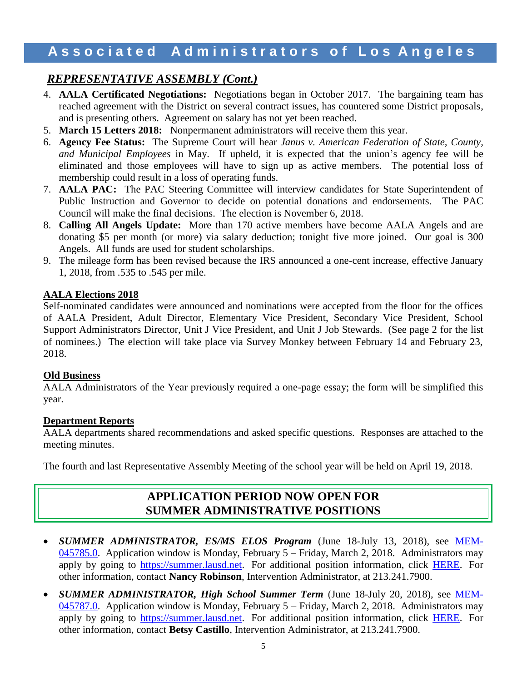### *REPRESENTATIVE ASSEMBLY (Cont.)*

- 4. **AALA Certificated Negotiations:** Negotiations began in October 2017. The bargaining team has reached agreement with the District on several contract issues, has countered some District proposals, and is presenting others. Agreement on salary has not yet been reached.
- 5. **March 15 Letters 2018:** Nonpermanent administrators will receive them this year.
- 6. **Agency Fee Status:** The Supreme Court will hear *Janus v. American Federation of State, County, and Municipal Employees* in May. If upheld, it is expected that the union's agency fee will be eliminated and those employees will have to sign up as active members. The potential loss of membership could result in a loss of operating funds.
- 7. **AALA PAC:** The PAC Steering Committee will interview candidates for State Superintendent of Public Instruction and Governor to decide on potential donations and endorsements. The PAC Council will make the final decisions. The election is November 6, 2018.
- 8. **Calling All Angels Update:** More than 170 active members have become AALA Angels and are donating \$5 per month (or more) via salary deduction; tonight five more joined. Our goal is 300 Angels. All funds are used for student scholarships.
- 9. The mileage form has been revised because the IRS announced a one-cent increase, effective January 1, 2018, from .535 to .545 per mile.

#### **AALA Elections 2018**

Self-nominated candidates were announced and nominations were accepted from the floor for the offices of AALA President, Adult Director, Elementary Vice President, Secondary Vice President, School Support Administrators Director, Unit J Vice President, and Unit J Job Stewards. (See page 2 for the list of nominees.) The election will take place via Survey Monkey between February 14 and February 23, 2018.

#### **Old Business**

AALA Administrators of the Year previously required a one-page essay; the form will be simplified this year.

#### **Department Reports**

AALA departments shared recommendations and asked specific questions. Responses are attached to the meeting minutes.

The fourth and last Representative Assembly Meeting of the school year will be held on April 19, 2018.

### **APPLICATION PERIOD NOW OPEN FOR SUMMER ADMINISTRATIVE POSITIONS**

- *SUMMER ADMINISTRATOR, ES/MS ELOS Program* (June 18-July 13, 2018), see [MEM-](https://drive.google.com/file/d/0B5UnaJtmNwkJOGFXMXVHV0FNdFE/view)[045785.0.](https://drive.google.com/file/d/0B5UnaJtmNwkJOGFXMXVHV0FNdFE/view) Application window is Monday, February 5 – Friday, March 2, 2018. Administrators may apply by going to [https://summer.lausd.net.](https://summer.lausd.net/) For additional position information, click [HERE.](http://btb.lausd.net/Information/E-Library/Summer-School) For other information, contact **Nancy Robinson**, Intervention Administrator, at 213.241.7900.
- **SUMMER ADMINISTRATOR, High School Summer Term** (June 18-July 20, 2018), see **[MEM-](https://drive.google.com/file/d/0B5UnaJtmNwkJOGQ2U2M0eFVtSHc/view)**[045787.0.](https://drive.google.com/file/d/0B5UnaJtmNwkJOGQ2U2M0eFVtSHc/view) Application window is Monday, February 5 – Friday, March 2, 2018. Administrators may apply by going to [https://summer.lausd.net.](https://summer.lausd.net/) For additional position information, click [HERE.](http://btb.lausd.net/Information/E-Library/Summer-School) For other information, contact **Betsy Castillo**, Intervention Administrator, at 213.241.7900.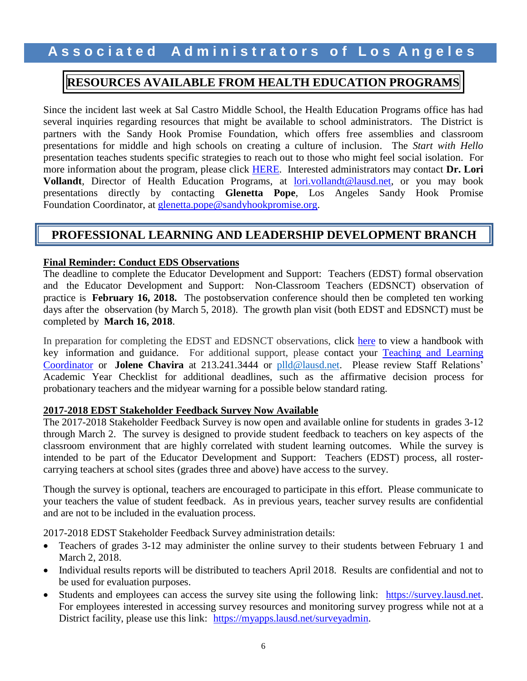### **A s s o c i a t e d A d m i n i s t r a t o r s o f L o s A n g e l e s**

### **RESOURCES AVAILABLE FROM HEALTH EDUCATION PROGRAMS**

Since the incident last week at Sal Castro Middle School, the Health Education Programs office has had several inquiries regarding resources that might be available to school administrators. The District is partners with the Sandy Hook Promise Foundation, which offers free assemblies and classroom presentations for middle and high schools on creating a culture of inclusion. The *Start with Hello* presentation teaches students specific strategies to reach out to those who might feel social isolation. For more information about the program, please click [HERE.](https://www.sandyhookpromise.org/startwithhelloweek) Interested administrators may contact **Dr. Lori Vollandt**, Director of Health Education Programs, at [lori.vollandt@lausd.net,](mailto:lori.vollandt@lausd.net) or you may book presentations directly by contacting **Glenetta Pope**, Los Angeles Sandy Hook Promise Foundation Coordinator, at **glenetta.pope@sandyhookpromise.org.** 

### **PROFESSIONAL LEARNING AND LEADERSHIP DEVELOPMENT BRANCH**

#### **Final Reminder: Conduct EDS Observations**

The deadline to complete the Educator Development and Support: Teachers (EDST) formal observation and the Educator Development and Support: Non-Classroom Teachers (EDSNCT) observation of practice is **February 16, 2018.** The postobservation conference should then be completed ten working days after the observation (by March 5, 2018). The growth plan visit (both EDST and EDSNCT) must be completed by **March 16, 2018**.

In preparation for completing the EDST and EDSNCT observations, click [here](https://achieve.lausd.net/cms/lib/CA01000043/Centricity/Domain/433/EDS%20Observations%20Administrator%20Handbook.pdf) to view a handbook with key information and guidance. For additional support, please contact your [Teaching and](http://achieve.lausd.net/cms/lib08/CA01000043/Centricity/Domain/433/TLC%20Contact%20List.pdf) Learning [Coordinator](http://achieve.lausd.net/cms/lib08/CA01000043/Centricity/Domain/433/TLC%20Contact%20List.pdf) or **Jolene Chavira** at 213.241.3444 or [plld@lausd.net.](mailto:plld@lausd.net) Please review Staff Relations' Academic Year Checklist for additional deadlines, such as the affirmative decision process for probationary teachers and the midyear warning for a possible below standard rating.

#### **2017-2018 EDST Stakeholder Feedback Survey Now Available**

The 2017-2018 Stakeholder Feedback Survey is now open and available online for students in grades 3-12 through March 2. The survey is designed to provide student feedback to teachers on key aspects of the classroom environment that are highly correlated with student learning outcomes. While the survey is intended to be part of the Educator Development and Support: Teachers (EDST) process, all rostercarrying teachers at school sites (grades three and above) have access to the survey.

Though the survey is optional, teachers are encouraged to participate in this effort. Please communicate to your teachers the value of student feedback. As in previous years, teacher survey results are confidential and are not to be included in the evaluation process.

2017-2018 EDST Stakeholder Feedback Survey administration details:

- Teachers of grades 3-12 may administer the online survey to their students between February 1 and March 2, 2018.
- Individual results reports will be distributed to teachers April 2018. Results are confidential and not to be used for evaluation purposes.
- Students and employees can access the survey site using the following link: [https://survey.lausd.net.](https://survey.lausd.net/) For employees interested in accessing survey resources and monitoring survey progress while not at a District facility, please use this link: [https://myapps.lausd.net/surveyadmin.](https://myapps.lausd.net/surveyadmin)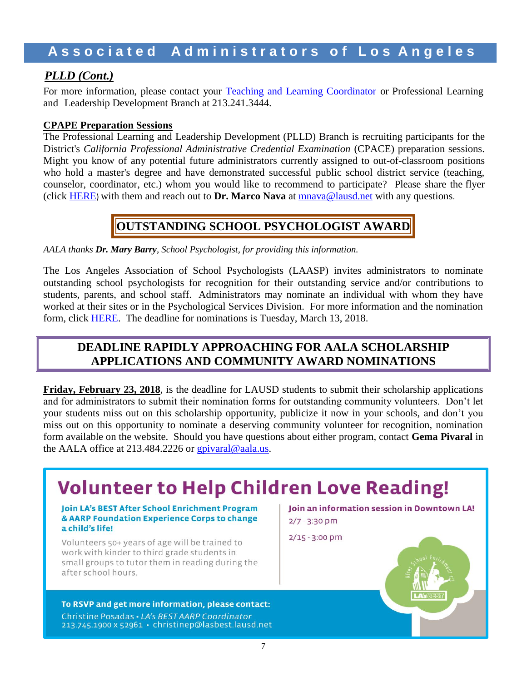### *PLLD (Cont.)*

For more information, please contact your Teaching and Learning [Coordinator](http://achieve.lausd.net/cms/lib08/CA01000043/Centricity/Domain/433/TLC%20Contact%20List.pdf) or Professional Learning and Leadership Development Branch at 213.241.3444.

### **CPAPE Preparation Sessions**

The Professional Learning and Leadership Development (PLLD) Branch is recruiting participants for the District's *California Professional Administrative Credential Examination* (CPACE) preparation sessions. Might you know of any potential future administrators currently assigned to out-of-classroom positions who hold a master's degree and have demonstrated successful public school district service (teaching, counselor, coordinator, etc.) whom you would like to recommend to participate? Please share the flyer (click [HERE](http://www.aala.us/docs/2018/02/CPACE-PD-OPP-SPRING-2018.pdf)) with them and reach out to **Dr. Marco Nava** at [mnava@lausd.net](mailto:mnava@lausd.net) with any questions.

### **OUTSTANDING SCHOOL PSYCHOLOGIST AWARD**

*AALA thanks Dr. Mary Barry, School Psychologist, for providing this information.*

The Los Angeles Association of School Psychologists (LAASP) invites administrators to nominate outstanding school psychologists for recognition for their outstanding service and/or contributions to students, parents, and school staff. Administrators may nominate an individual with whom they have worked at their sites or in the Psychological Services Division. For more information and the nomination form, click [HERE.](http://www.aala.us/docs/2018/02/OSP-Nomination-Form-2017-2018-1.docx) The deadline for nominations is Tuesday, March 13, 2018.

### **DEADLINE RAPIDLY APPROACHING FOR AALA SCHOLARSHIP APPLICATIONS AND COMMUNITY AWARD NOMINATIONS**

**Friday, February 23, 2018**, is the deadline for LAUSD students to submit their scholarship applications and for administrators to submit their nomination forms for outstanding community volunteers. Don't let your students miss out on this scholarship opportunity, publicize it now in your schools, and don't you miss out on this opportunity to nominate a deserving community volunteer for recognition, nomination form available on the website. Should you have questions about either program, contact **Gema Pivaral** in the AALA office at 213.484.2226 or [gpivaral@aala.us.](mailto:gpivaral@aala.us)

## **Volunteer to Help Children Love Reading!**

#### Join LA's BEST After School Enrichment Program & AARP Foundation Experience Corps to change a child's life!

Volunteers 50+ years of age will be trained to work with kinder to third grade students in small groups to tutor them in reading during the after school hours.

To RSVP and get more information, please contact: Christine Posadas · LA's BEST AARP Coordinator 213.745.1900 x 52961 · christinep@lasbest.lausd.net

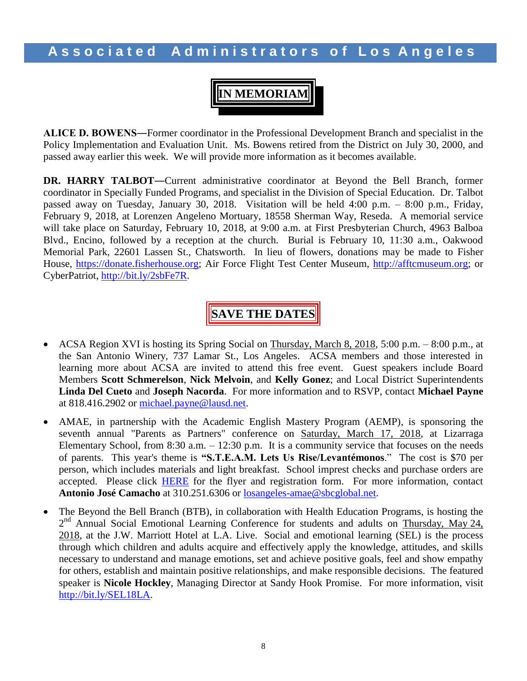**IN MEMORIAM**

**ALICE D. BOWENS―**Former coordinator in the Professional Development Branch and specialist in the Policy Implementation and Evaluation Unit. Ms. Bowens retired from the District on July 30, 2000, and passed away earlier this week. We will provide more information as it becomes available.

**DR. HARRY TALBOT―**Current administrative coordinator at Beyond the Bell Branch, former coordinator in Specially Funded Programs, and specialist in the Division of Special Education. Dr. Talbot passed away on Tuesday, January 30, 2018. Visitation will be held 4:00 p.m. – 8:00 p.m., Friday, February 9, 2018, at Lorenzen Angeleno Mortuary, 18558 Sherman Way, Reseda. A memorial service will take place on Saturday, February 10, 2018, at 9:00 a.m. at First Presbyterian Church, 4963 Balboa Blvd., Encino, followed by a reception at the church. Burial is February 10, 11:30 a.m., Oakwood Memorial Park, 22601 Lassen St., Chatsworth. In lieu of flowers, donations may be made to Fisher House, [https://donate.fisherhouse.org;](https://donate.fisherhouse.org/) Air Force Flight Test Center Museum, [http://afftcmuseum.org;](http://afftcmuseum.org/) or CyberPatriot, http://bit.ly/2sbFe7R.

## **SAVE THE DATES**

- ACSA Region XVI is hosting its Spring Social on Thursday, March 8, 2018, 5:00 p.m. 8:00 p.m., at the San Antonio Winery, 737 Lamar St., Los Angeles. ACSA members and those interested in learning more about ACSA are invited to attend this free event. Guest speakers include Board Members **Scott Schmerelson**, **Nick Melvoin**, and **Kelly Gonez**; and Local District Superintendents **Linda Del Cueto** and **Joseph Nacorda**. For more information and to RSVP, contact **Michael Payne** at 818.416.2902 or [michael.payne@lausd.net.](mailto:michael.payne@lausd.net)
- AMAE, in partnership with the Academic English Mastery Program (AEMP), is sponsoring the seventh annual "Parents as Partners" conference on Saturday, March 17, 2018, at Lizarraga Elementary School, from 8:30 a.m. – 12:30 p.m. It is a community service that focuses on the needs of parents. This year's theme is **"S.T.E.A.M. Lets Us Rise/Levantémonos**." The cost is \$70 per person, which includes materials and light breakfast. School imprest checks and purchase orders are accepted. Please click **[HERE](http://www.aala.us/docs/2018/02/AMAE-AEMP-Parent-CON-Flyer-and-REG-Form-RV1.pdf)** for the flyer and registration form. For more information, contact **Antonio José Camacho** at 310.251.6306 or [losangeles-amae@sbcglobal.net.](mailto:losangeles-amae@sbcglobal.net)
- The Beyond the Bell Branch (BTB), in collaboration with Health Education Programs, is hosting the 2<sup>nd</sup> Annual Social Emotional Learning Conference for students and adults on Thursday, May 24, 2018, at the J.W. Marriott Hotel at L.A. Live. Social and emotional learning (SEL) is the process through which children and adults acquire and effectively apply the knowledge, attitudes, and skills necessary to understand and manage emotions, set and achieve positive goals, feel and show empathy for others, establish and maintain positive relationships, and make responsible decisions. The featured speaker is **Nicole Hockley**, Managing Director at Sandy Hook Promise. For more information, visit [http://bit.ly/SEL18LA.](http://bit.ly/SEL18LA)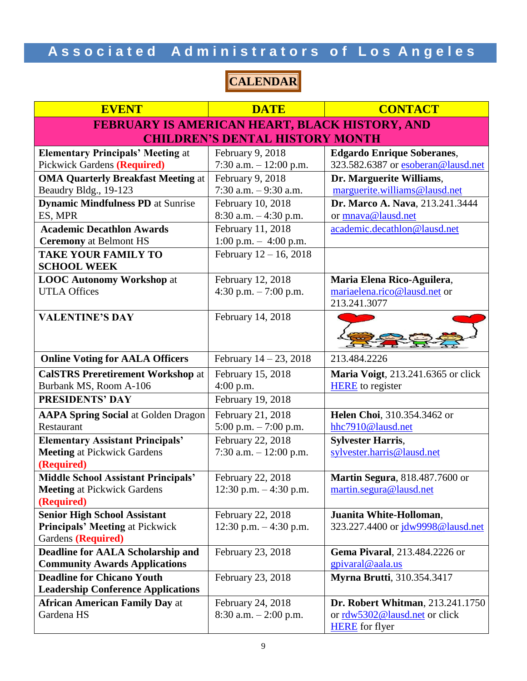## **CALENDAR**

| <b>EVENT</b>                                            | <b>DATE</b>                                 | <b>CONTACT</b>                                             |  |
|---------------------------------------------------------|---------------------------------------------|------------------------------------------------------------|--|
| FEBRUARY IS AMERICAN HEART, BLACK HISTORY, AND          |                                             |                                                            |  |
|                                                         | <b>CHILDREN'S DENTAL HISTORY MONTH</b>      |                                                            |  |
| <b>Elementary Principals' Meeting at</b>                | February 9, 2018                            | <b>Edgardo Enrique Soberanes,</b>                          |  |
| <b>Pickwick Gardens (Required)</b>                      | 7:30 a.m. - 12:00 p.m.                      | 323.582.6387 or esoberan@lausd.net                         |  |
| <b>OMA Quarterly Breakfast Meeting at</b>               | February 9, 2018                            | Dr. Marguerite Williams,                                   |  |
| Beaudry Bldg., 19-123                                   | 7:30 a.m. $-9:30$ a.m.                      | marguerite.williams@lausd.net                              |  |
| <b>Dynamic Mindfulness PD</b> at Sunrise                | February 10, 2018                           | Dr. Marco A. Nava, 213.241.3444                            |  |
| ES, MPR                                                 | $8:30$ a.m. $-4:30$ p.m.                    | or mnava@lausd.net                                         |  |
| <b>Academic Decathlon Awards</b>                        | February 11, 2018                           | academic.decathlon@lausd.net                               |  |
| <b>Ceremony</b> at Belmont HS                           | $1:00$ p.m. $-4:00$ p.m.                    |                                                            |  |
| <b>TAKE YOUR FAMILY TO</b>                              | February 12 - 16, 2018                      |                                                            |  |
| <b>SCHOOL WEEK</b>                                      |                                             |                                                            |  |
| <b>LOOC Autonomy Workshop at</b><br><b>UTLA Offices</b> | February 12, 2018<br>4:30 p.m. $-7:00$ p.m. | Maria Elena Rico-Aguilera,<br>mariaelena.rico@lausd.net or |  |
|                                                         |                                             | 213.241.3077                                               |  |
| <b>VALENTINE'S DAY</b>                                  | February 14, 2018                           |                                                            |  |
|                                                         |                                             |                                                            |  |
|                                                         |                                             |                                                            |  |
| <b>Online Voting for AALA Officers</b>                  | February $14 - 23$ , 2018                   | 213.484.2226                                               |  |
| <b>CalSTRS Preretirement Workshop at</b>                | February 15, 2018                           | <b>Maria Voigt</b> , 213.241.6365 or click                 |  |
| Burbank MS, Room A-106                                  | $4:00$ p.m.                                 | <b>HERE</b> to register                                    |  |
| <b>PRESIDENTS' DAY</b>                                  | February 19, 2018                           |                                                            |  |
| <b>AAPA Spring Social at Golden Dragon</b>              | February 21, 2018                           | Helen Choi, 310.354.3462 or                                |  |
| Restaurant                                              | 5:00 p.m. - 7:00 p.m.                       | hhc7910@lausd.net                                          |  |
| <b>Elementary Assistant Principals'</b>                 | February 22, 2018                           | <b>Sylvester Harris,</b>                                   |  |
| <b>Meeting at Pickwick Gardens</b>                      | 7:30 a.m. $-12:00$ p.m.                     | sylvester.harris@lausd.net                                 |  |
| (Required)                                              |                                             |                                                            |  |
| <b>Middle School Assistant Principals'</b>              | February 22, 2018                           | Martin Segura, 818.487.7600 or                             |  |
| <b>Meeting at Pickwick Gardens</b><br>(Required)        | 12:30 p.m. $-4:30$ p.m.                     | martin.segura@lausd.net                                    |  |
| <b>Senior High School Assistant</b>                     | February 22, 2018                           | Juanita White-Holloman,                                    |  |
| <b>Principals' Meeting at Pickwick</b>                  | 12:30 p.m. $-4:30$ p.m.                     | 323.227.4400 or jdw9998@lausd.net                          |  |
| Gardens (Required)                                      |                                             |                                                            |  |
| Deadline for AALA Scholarship and                       | February 23, 2018                           | Gema Pivaral, 213.484.2226 or                              |  |
| <b>Community Awards Applications</b>                    |                                             | gpivaral@aala.us                                           |  |
| <b>Deadline for Chicano Youth</b>                       | February 23, 2018                           | <b>Myrna Brutti, 310.354.3417</b>                          |  |
| <b>Leadership Conference Applications</b>               |                                             |                                                            |  |
| <b>African American Family Day at</b>                   | February 24, 2018                           | <b>Dr. Robert Whitman, 213.241.1750</b>                    |  |
| Gardena HS                                              | $8:30$ a.m. $-2:00$ p.m.                    | or rdw5302@lausd.net or click                              |  |
|                                                         |                                             | <b>HERE</b> for flyer                                      |  |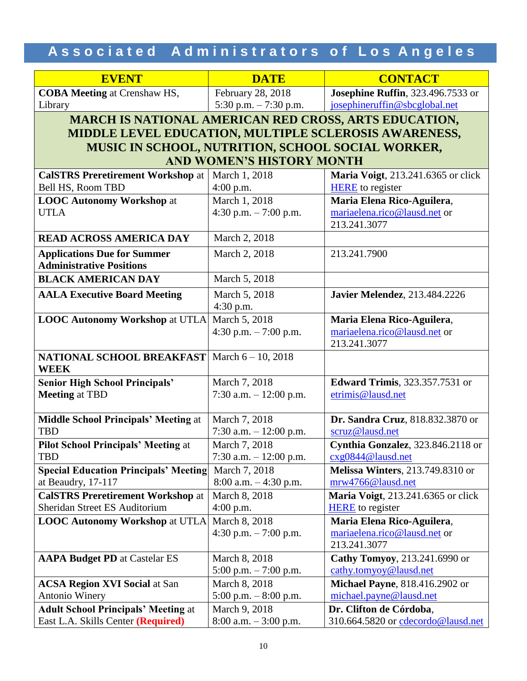| <b>EVENT</b>                                                          | <b>DATE</b>                                           | <b>CONTACT</b>                         |  |  |
|-----------------------------------------------------------------------|-------------------------------------------------------|----------------------------------------|--|--|
| <b>COBA Meeting at Crenshaw HS,</b>                                   | February 28, 2018                                     | Josephine Ruffin, 323.496.7533 or      |  |  |
| Library                                                               | 5:30 p.m. $-7:30$ p.m.                                | josephineruffin@sbcglobal.net          |  |  |
| <b>MARCH IS NATIONAL AMERICAN RED CROSS, ARTS EDUCATION,</b>          |                                                       |                                        |  |  |
|                                                                       | MIDDLE LEVEL EDUCATION, MULTIPLE SCLEROSIS AWARENESS, |                                        |  |  |
| MUSIC IN SCHOOL, NUTRITION, SCHOOL SOCIAL WORKER,                     |                                                       |                                        |  |  |
|                                                                       | <b>AND WOMEN'S HISTORY MONTH</b>                      |                                        |  |  |
| <b>CalSTRS Preretirement Workshop at</b>                              | March 1, 2018                                         | Maria Voigt, 213.241.6365 or click     |  |  |
| Bell HS, Room TBD                                                     | $4:00$ p.m.                                           | <b>HERE</b> to register                |  |  |
| <b>LOOC Autonomy Workshop at</b>                                      | March 1, 2018                                         | Maria Elena Rico-Aguilera,             |  |  |
| <b>UTLA</b>                                                           | 4:30 p.m. $-7:00$ p.m.                                | mariaelena.rico@lausd.net or           |  |  |
|                                                                       |                                                       | 213.241.3077                           |  |  |
| <b>READ ACROSS AMERICA DAY</b>                                        | March 2, 2018                                         |                                        |  |  |
| <b>Applications Due for Summer</b><br><b>Administrative Positions</b> | March 2, 2018                                         | 213.241.7900                           |  |  |
| <b>BLACK AMERICAN DAY</b>                                             | March 5, 2018                                         |                                        |  |  |
| <b>AALA Executive Board Meeting</b>                                   | March 5, 2018                                         | <b>Javier Melendez</b> , 213.484.2226  |  |  |
|                                                                       | 4:30 p.m.                                             |                                        |  |  |
| <b>LOOC Autonomy Workshop at UTLA</b>                                 | March 5, 2018                                         | Maria Elena Rico-Aguilera,             |  |  |
|                                                                       | 4:30 p.m. $-7:00$ p.m.                                | mariaelena.rico@lausd.net or           |  |  |
|                                                                       |                                                       | 213.241.3077                           |  |  |
| NATIONAL SCHOOL BREAKFAST<br><b>WEEK</b>                              | March $6 - 10$ , 2018                                 |                                        |  |  |
| <b>Senior High School Principals'</b>                                 | March 7, 2018                                         | <b>Edward Trimis</b> , 323.357.7531 or |  |  |
| <b>Meeting at TBD</b>                                                 | 7:30 a.m. $- 12:00$ p.m.                              | etrimis@lausd.net                      |  |  |
|                                                                       |                                                       |                                        |  |  |
| <b>Middle School Principals' Meeting at</b>                           | March 7, 2018                                         | Dr. Sandra Cruz, 818.832.3870 or       |  |  |
| <b>TBD</b>                                                            | 7:30 a.m. $-12:00$ p.m.                               | scruz@lausd.net                        |  |  |
| <b>Pilot School Principals' Meeting at</b>                            | March 7, 2018                                         | Cynthia Gonzalez, 323.846.2118 or      |  |  |
| TBD                                                                   | 7:30 a.m. – 12:00 p.m.                                | cxg0844@lausd.net                      |  |  |
| <b>Special Education Principals' Meeting</b>                          | March 7, 2018                                         | Melissa Winters, 213.749.8310 or       |  |  |
| at Beaudry, 17-117                                                    | $8:00$ a.m. $-4:30$ p.m.                              | mrw4766@lausd.net                      |  |  |
| <b>CalSTRS Preretirement Workshop at</b>                              | March 8, 2018                                         | Maria Voigt, 213.241.6365 or click     |  |  |
| Sheridan Street ES Auditorium                                         | $4:00$ p.m.                                           | <b>HERE</b> to register                |  |  |
| <b>LOOC Autonomy Workshop at UTLA</b>                                 | March 8, 2018                                         | Maria Elena Rico-Aguilera,             |  |  |
|                                                                       | 4:30 p.m. $-7:00$ p.m.                                | mariaelena.rico@lausd.net or           |  |  |
|                                                                       |                                                       | 213.241.3077                           |  |  |
| <b>AAPA Budget PD</b> at Castelar ES                                  | March 8, 2018                                         | Cathy Tomyoy, 213.241.6990 or          |  |  |
|                                                                       | $5:00$ p.m. $-7:00$ p.m.                              | cathy.tomyoy@lausd.net                 |  |  |
| <b>ACSA Region XVI Social at San</b>                                  | March 8, 2018                                         | Michael Payne, 818.416.2902 or         |  |  |
| <b>Antonio Winery</b>                                                 | $5:00$ p.m. $-8:00$ p.m.                              | michael.payne@lausd.net                |  |  |
| <b>Adult School Principals' Meeting at</b>                            | March 9, 2018                                         | Dr. Clifton de Córdoba,                |  |  |
| East L.A. Skills Center (Required)                                    | $8:00$ a.m. $-3:00$ p.m.                              | 310.664.5820 or cdecordo@lausd.net     |  |  |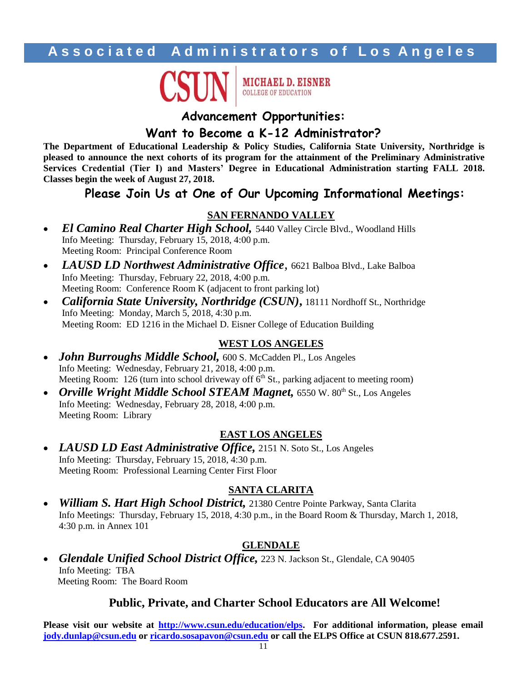

**MICHAEL D. EISNER COLLEGE OF EDUCATION** 

### **Advancement Opportunities:**

### **Want to Become a K-12 Administrator?**

**The Department of Educational Leadership & Policy Studies, California State University, Northridge is pleased to announce the next cohorts of its program for the attainment of the Preliminary Administrative Services Credential (Tier I) and Masters' Degree in Educational Administration starting FALL 2018. Classes begin the week of August 27, 2018.**

### **Please Join Us at One of Our Upcoming Informational Meetings:**

### **SAN FERNANDO VALLEY**

- *El Camino Real Charter High School*, 5440 Valley Circle Blvd., Woodland Hills Info Meeting: Thursday, February 15, 2018, 4:00 p.m. Meeting Room: Principal Conference Room
- *LAUSD LD Northwest Administrative Office,* 6621 Balboa Blvd., Lake Balboa Info Meeting: Thursday, February 22, 2018, 4:00 p.m. Meeting Room: Conference Room K (adjacent to front parking lot)
- *California State University, Northridge (CSUN)***,** 18111 Nordhoff St., Northridge Info Meeting: Monday, March 5, 2018, 4:30 p.m. Meeting Room: ED 1216 in the Michael D. Eisner College of Education Building

### **WEST LOS ANGELES**

- *John Burroughs Middle School,* 600 S. McCadden Pl., Los Angeles Info Meeting: Wednesday, February 21, 2018, 4:00 p.m. Meeting Room: 126 (turn into school driveway off  $\vec{6}^{\text{th}}$  St., parking adjacent to meeting room)
- *Orville Wright Middle School STEAM Magnet,* 6550 W. 80<sup>th</sup> St., Los Angeles Info Meeting: Wednesday, February 28, 2018, 4:00 p.m. Meeting Room: Library

### **EAST LOS ANGELES**

• LAUSD LD East Administrative Office, 2151 N. Soto St., Los Angeles Info Meeting: Thursday, February 15, 2018, 4:30 p.m. Meeting Room: Professional Learning Center First Floor

### **SANTA CLARITA**

 *William S. Hart High School District,* 21380 Centre Pointe Parkway, Santa Clarita Info Meetings: Thursday, February 15, 2018, 4:30 p.m., in the Board Room & Thursday, March 1, 2018, 4:30 p.m. in Annex 101

### **GLENDALE**

 *Glendale Unified School District Office,* 223 N. Jackson St., Glendale, CA 90405 Info Meeting: TBA Meeting Room: The Board Room

### **Public, Private, and Charter School Educators are All Welcome!**

**Please visit our website at [http://www.csun.edu/education/elps.](http://www.csun.edu/education/elps) For additional information, please email [jody.dunlap@csun.edu](mailto:jody.dunlap@csun.edu) or [ricardo.sosapavon@csun.edu](mailto:ricardo.sosapavon@csun.edu) or call the ELPS Office at CSUN 818.677.2591.**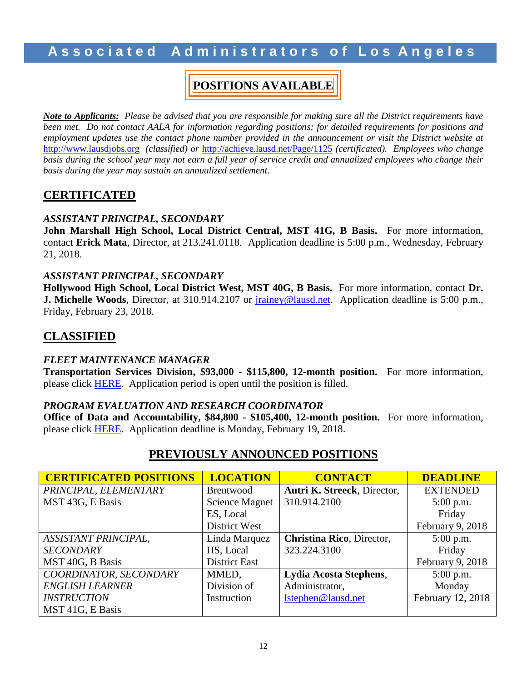### **A s s o c i a t e d A d m i n i s t r a t o r s o f L o s A n g e l e s**

### **POSITIONS AVAILABLE**

*Note to Applicants: Please be advised that you are responsible for making sure all the District requirements have been met. Do not contact AALA for information regarding positions; for detailed requirements for positions and employment updates use the contact phone number provided in the announcement or visit the District website at* [http://www.lausdjobs.org](http://www.lausdjobs.org/) *(classified) or* <http://achieve.lausd.net/Page/1125> *(certificated). Employees who change basis during the school year may not earn a full year of service credit and annualized employees who change their basis during the year may sustain an annualized settlement.*

### **CERTIFICATED**

### *ASSISTANT PRINCIPAL, SECONDARY*

**John Marshall High School, Local District Central, MST 41G, B Basis.** For more information, contact **Erick Mata**, Director, at 213.241.0118. Application deadline is 5:00 p.m., Wednesday, February 21, 2018.

### *ASSISTANT PRINCIPAL, SECONDARY*

**Hollywood High School, Local District West, MST 40G, B Basis.** For more information, contact **Dr. J. Michelle Woods**, Director, at 310.914.2107 or [jrainey@lausd.net.](mailto:jrainey@lausd.net) Application deadline is 5:00 p.m., Friday, February 23, 2018.

### **CLASSIFIED**

### *FLEET MAINTENANCE MANAGER*

**Transportation Services Division, \$93,000 - \$115,800, 12-month position.** For more information, please click [HERE.](https://btserec.lausd.net/sap/bc/webdynpro/sap/zerwd_a_refcode_srch_int?sap-client=910) Application period is open until the position is filled.

### *PROGRAM EVALUATION AND RESEARCH COORDINATOR*

**Office of Data and Accountability, \$84,800 - \$105,400, 12-month position.** For more information, please click [HERE.](https://btserec.lausd.net/sap/bc/webdynpro/sap/zerwd_a_refcode_srch_int?sap-client=910) Application deadline is Monday, February 19, 2018.

### **PREVIOUSLY ANNOUNCED POSITIONS**

| <b>CERTIFICATED POSITIONS</b> | <b>LOCATION</b>       | <b>CONTACT</b>              | <b>DEADLINE</b>   |
|-------------------------------|-----------------------|-----------------------------|-------------------|
| PRINCIPAL, ELEMENTARY         | Brentwood             | Autri K. Streeck, Director, | <b>EXTENDED</b>   |
| MST 43G, E Basis              | <b>Science Magnet</b> | 310.914.2100                | $5:00$ p.m.       |
|                               | ES, Local             |                             | Friday            |
|                               | District West         |                             | February 9, 2018  |
| ASSISTANT PRINCIPAL,          | Linda Marquez         | Christina Rico, Director,   | $5:00$ p.m.       |
| <b>SECONDARY</b>              | HS, Local             | 323.224.3100                | Friday            |
| MST 40G, B Basis              | <b>District East</b>  |                             | February 9, 2018  |
| COORDINATOR, SECONDARY        | MMED,                 | Lydia Acosta Stephens,      | $5:00$ p.m.       |
| <b>ENGLISH LEARNER</b>        | Division of           | Administrator,              | Monday            |
| <b>INSTRUCTION</b>            | Instruction           | lstephen@lausd.net          | February 12, 2018 |
| MST 41G, E Basis              |                       |                             |                   |